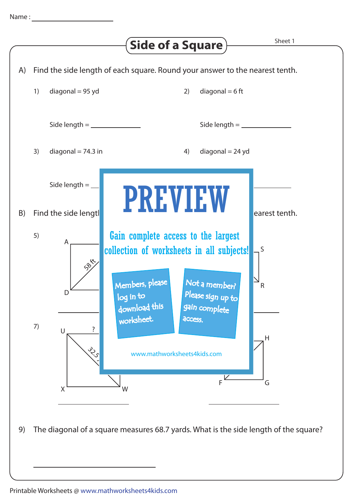